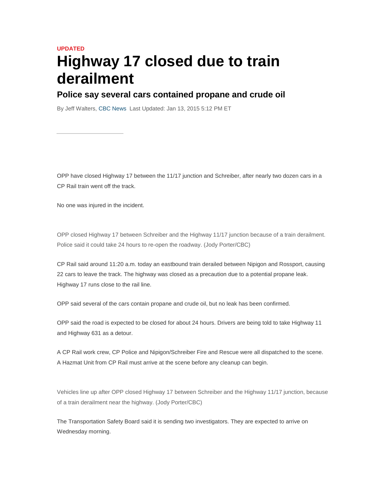## **UPDATED Highway 17 closed due to train derailment**

## **Police say several cars contained propane and crude oil**

By Jeff Walters, CBC News Last Updated: Jan 13, 2015 5:12 PM ET

OPP have closed Highway 17 between the 11/17 junction and Schreiber, after nearly two dozen cars in a CP Rail train went off the track.

No one was injured in the incident.

OPP closed Highway 17 between Schreiber and the Highway 11/17 junction because of a train derailment. Police said it could take 24 hours to re-open the roadway. (Jody Porter/CBC)

CP Rail said around 11:20 a.m. today an eastbound train derailed between Nipigon and Rossport, causing 22 cars to leave the track. The highway was closed as a precaution due to a potential propane leak. Highway 17 runs close to the rail line.

OPP said several of the cars contain propane and crude oil, but no leak has been confirmed.

OPP said the road is expected to be closed for about 24 hours. Drivers are being told to take Highway 11 and Highway 631 as a detour.

A CP Rail work crew, CP Police and Nipigon/Schreiber Fire and Rescue were all dispatched to the scene. A Hazmat Unit from CP Rail must arrive at the scene before any cleanup can begin.

Vehicles line up after OPP closed Highway 17 between Schreiber and the Highway 11/17 junction, because of a train derailment near the highway. (Jody Porter/CBC)

The Transportation Safety Board said it is sending two investigators. They are expected to arrive on Wednesday morning.